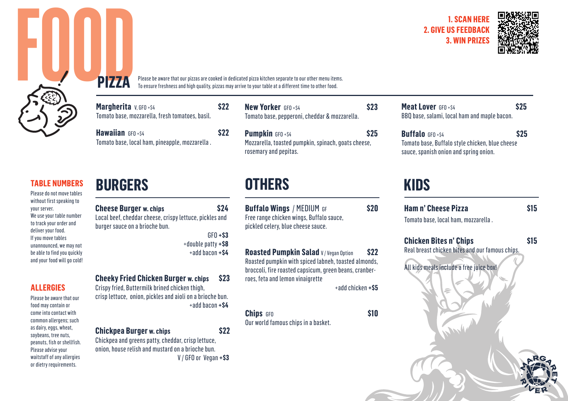



**FOOD**<br> **FOOD** 

**TABLE NUMBERS**

Please do not move tables without first speaking to your server. We use your table number to track your order and deliver your food. If you move tables unannounced, we may not be able to find you quickly and your food will go cold!

**ALLERGIES**

Please be aware that our food may contain or come into contact with common allergens; such as dairy, eggs, wheat, soybeans, tree nuts, peanuts, fish or shellfish. Please advise your waitstaff of any allergies or dietry requirements.

# **BURGERS OTHERS KIDS**

**PIZZA**

**Cheese Burger w. chips \$24** Local beef, cheddar cheese, crispy lettuce, pickles and burger sauce on a brioche bun.

**Margherita v**, GFO + \$4 **\$22** \$22 Tomato base, mozzarella, fresh tomatoes, basil.

**Hawaiian** GFO + \$4

Tomato base, local ham, pineapple, mozzarella .

GFO **+\$3** +double patty **+\$8** +add bacon **+\$4**

## **Cheeky Fried Chicken Burger w. chips \$23**

Crispy fried, Buttermilk brined chicken thigh, crisp lettuce, onion, pickles and aioli on a brioche bun. +add bacon **+\$4**

### **Chickpea Burger w. chips \$22**

Chickpea and greens patty, cheddar, crisp lettuce, onion, house relish and mustard on a brioche bun. V / GFO or Vegan **+\$3** **New Yorker** *GEO* +\$4 **\$23** Tomato base, pepperoni, cheddar & mozzarella.

**Pumpkin** GFO + \$4 Mozzarella, toasted pumpkin, spinach, goats cheese, rosemary and pepitas.

Please be aware that our pizzas are cooked in dedicated pizza kitchen separate to our other menu items. To ensure freshness and high quality, pizzas may arrive to your table at a different time to other food.

> **Buffalo Wings** / MEDIUM GF **\$20** Free range chicken wings, Buffalo sauce, pickled celery, blue cheese sauce.

**Roasted Pumpkin Salad** V/Vegan Option \$22 Roasted pumpkin with spiced labneh, toasted almonds, broccoli, fire roasted capsicum, green beans, cranberroes, feta and lemon vinaigrette +add chicken **+\$5**

**Chips**  $GFO$  **\$10** Our world famous chips in a basket.

**Meat Lover** GEO + S4 BBQ base, salami, local ham and maple bacon.

### **Buffalo** GEO + \$4 Tomato base, Buffalo style chicken, blue cheese sauce, spanish onion and spring onion.

**Ham n' Cheese Pizza** \$15

Tomato base, local ham, mozzarella .

**Chicken Bites n' Chips 615** Real breast chicken bites and our famous chips. All kids meals include a free juice box!